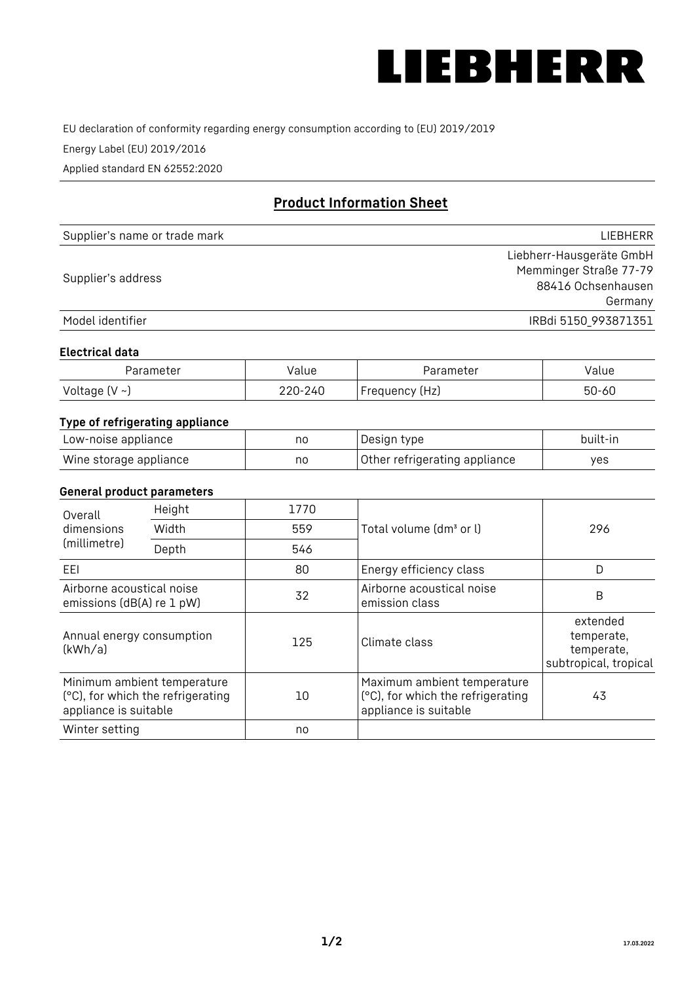

EU declaration of conformity regarding energy consumption according to (EU) 2019/2019

Energy Label (EU) 2019/2016

Applied standard EN 62552:2020

# **Product Information Sheet**

| Supplier's name or trade mark | <b>LIFBHFRR</b>          |
|-------------------------------|--------------------------|
|                               | Liebherr-Hausgeräte GmbH |
| Supplier's address            | Memminger Straße 77-79   |
|                               | 88416 Ochsenhausen       |
|                               | Germany                  |
| Model identifier              | IRBdi 5150_993871351     |

### **Electrical data**

| Parameter     | Value         | Parameter      | alue ' |
|---------------|---------------|----------------|--------|
| Voltage (V ~) | 220-:<br>-24C | Frequency (Hz) | 50-60  |

## **Type of refrigerating appliance**

| Low-noise appliance    | no | Design type                   | built-in |
|------------------------|----|-------------------------------|----------|
| Wine storage appliance | no | Other refrigerating appliance | yes      |

### **General product parameters**

| Height<br>Overall<br>dimensions<br>Width<br>(millimetre)<br>Depth |                                                                  | 1770 |                                                                                           | 296                                                           |
|-------------------------------------------------------------------|------------------------------------------------------------------|------|-------------------------------------------------------------------------------------------|---------------------------------------------------------------|
|                                                                   |                                                                  | 559  | Total volume (dm <sup>3</sup> or l)                                                       |                                                               |
|                                                                   |                                                                  | 546  |                                                                                           |                                                               |
| EEL                                                               |                                                                  | 80   | Energy efficiency class                                                                   | D                                                             |
| Airborne acoustical noise<br>emissions (dB(A) re 1 pW)            |                                                                  | 32   | Airborne acoustical noise<br>emission class                                               | B                                                             |
| Annual energy consumption<br>(kWh/a)                              |                                                                  | 125  | Climate class                                                                             | extended<br>temperate,<br>temperate,<br>subtropical, tropical |
| appliance is suitable                                             | Minimum ambient temperature<br>(°C), for which the refrigerating | 10   | Maximum ambient temperature<br>(°C), for which the refrigerating<br>appliance is suitable | 43                                                            |
| Winter setting                                                    |                                                                  | no   |                                                                                           |                                                               |